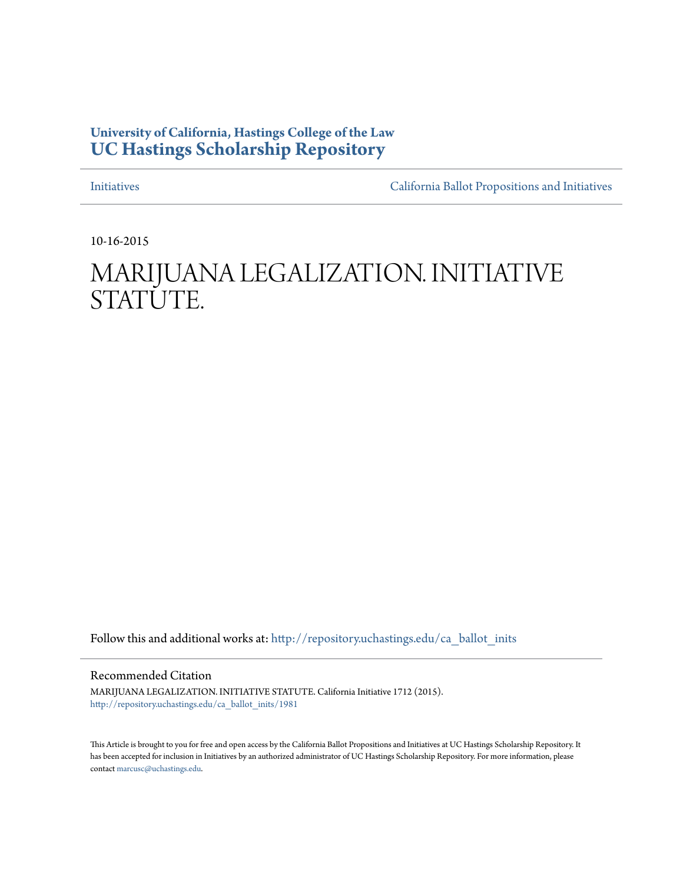### **University of California, Hastings College of the Law [UC Hastings Scholarship Repository](http://repository.uchastings.edu?utm_source=repository.uchastings.edu%2Fca_ballot_inits%2F1981&utm_medium=PDF&utm_campaign=PDFCoverPages)**

[Initiatives](http://repository.uchastings.edu/ca_ballot_inits?utm_source=repository.uchastings.edu%2Fca_ballot_inits%2F1981&utm_medium=PDF&utm_campaign=PDFCoverPages) [California Ballot Propositions and Initiatives](http://repository.uchastings.edu/ca_ballots?utm_source=repository.uchastings.edu%2Fca_ballot_inits%2F1981&utm_medium=PDF&utm_campaign=PDFCoverPages)

10-16-2015

# MARIJUANA LEGALIZATION. INITIATIVE STATUTE.

Follow this and additional works at: [http://repository.uchastings.edu/ca\\_ballot\\_inits](http://repository.uchastings.edu/ca_ballot_inits?utm_source=repository.uchastings.edu%2Fca_ballot_inits%2F1981&utm_medium=PDF&utm_campaign=PDFCoverPages)

Recommended Citation

MARIJUANA LEGALIZATION. INITIATIVE STATUTE. California Initiative 1712 (2015). [http://repository.uchastings.edu/ca\\_ballot\\_inits/1981](http://repository.uchastings.edu/ca_ballot_inits/1981?utm_source=repository.uchastings.edu%2Fca_ballot_inits%2F1981&utm_medium=PDF&utm_campaign=PDFCoverPages)

This Article is brought to you for free and open access by the California Ballot Propositions and Initiatives at UC Hastings Scholarship Repository. It has been accepted for inclusion in Initiatives by an authorized administrator of UC Hastings Scholarship Repository. For more information, please contact [marcusc@uchastings.edu](mailto:marcusc@uchastings.edu).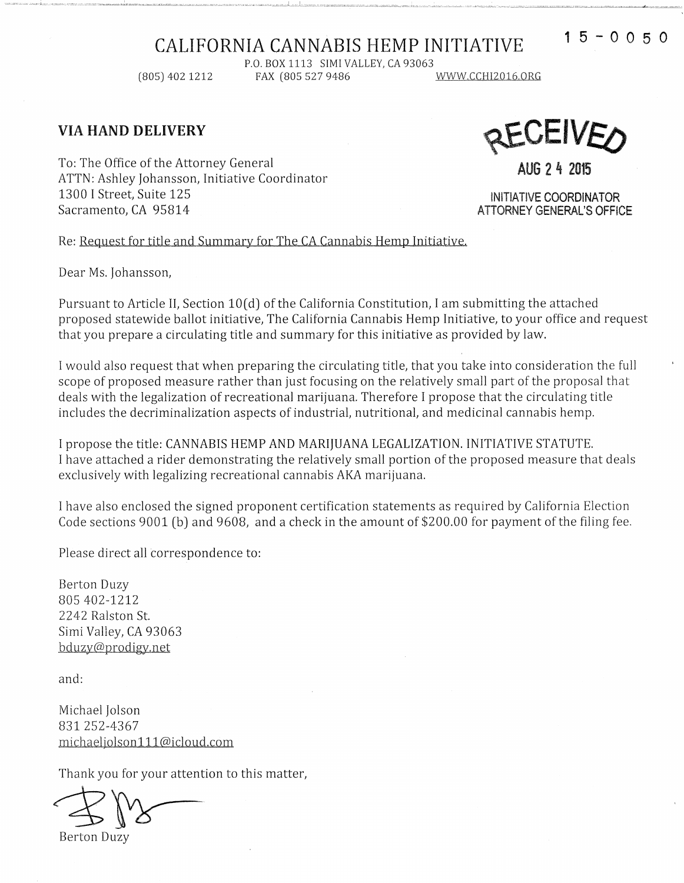## CALIFORNIA CANNABIS HEMP INITIATIVE 15-0050

P.O. BOX 1113 SIMI VALLEY, CA 93063<br>FAX (805 527 9486 (805) 402 1212 FAX (805 527 9486 .Y.Y.Y.Y.Y.Y.CCHI2016.ORG

#### VIA HAND DELIVERY

**CEIVE(?**  AUG 2 4 2015

To: The Office of the Attorney General ATTN: Ashley Johansson, Initiative Coordinator 1300 I Street, Suite 125 Sacramento, CA 95814

INITIATIVE COORDiNATOR ATTORNEY GENERAL'S OFFICE

Re: Request for title and Summary for The CA Cannabis Hemp Initiative.

Dear Ms. Johansson,

Pursuant to Article II, Section 10(d) of the California Constitution, I am submitting the attached proposed statewide ballot initiative, The California Cannabis Hemp Initiative, to your office and request that you prepare a circulating title and summary for this initiative as provided by law.

I would also request that when preparing the circulating title, that you take into consideration the full scope of proposed measure rather than just focusing on the relatively small part of the proposal that deals with the legalization of recreational marijuana. Therefore I propose that the circulating title includes the decriminalization aspects of industrial, nutritional, and medicinal cannabis hemp.

I propose the title: CANNABIS HEMP AND MARIJUANA LEGALIZATION. INITIATIVE STATUTE. I have attached a rider demonstrating the relatively small portion of the proposed measure that deals exclusively with legalizing recreational cannabis AKA marijuana.

I have also enclosed the signed proponent certification statements as required by California Election Code sections 9001 (b) and 9608, and a check in the amount of \$200.00 for payment of the filing fee.

Please direct all correspondence to:

Berton Duzy 805 402-1212 2242 Ralston St. Simi Valley, CA 93063 bduzy@prodigy.net

and:

Michael Jolson 831 252-4367 michaeljolson 111@icloud.com

Thank you for your attention to this matter,<br>
Berton Duzy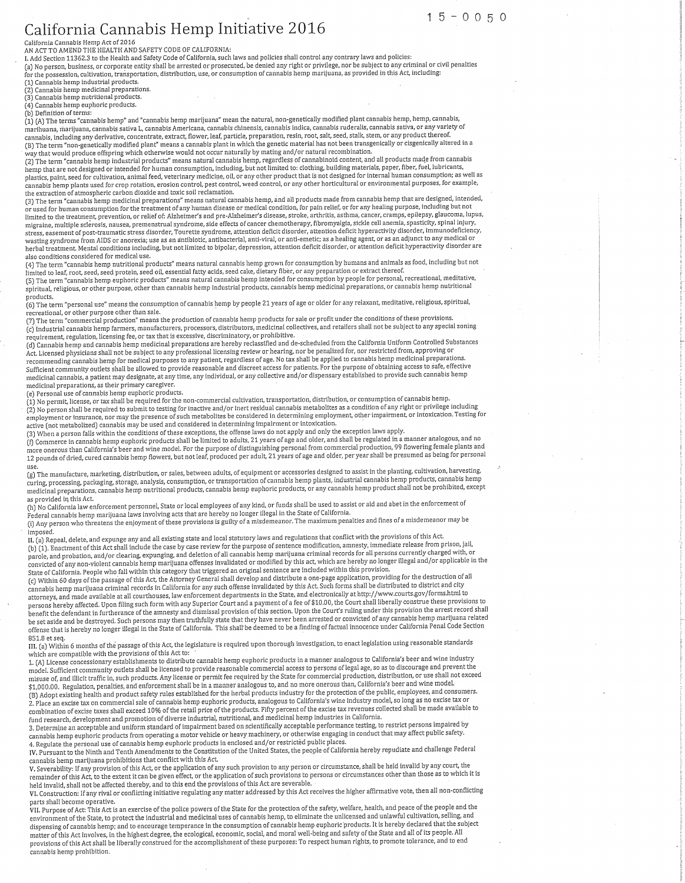#### California Cannabis Hemp Initiative 2016 California Cannabis Hemp Act of 2016

camornia cannabis неmp Act or 2016<br>AN ACT TO AMEND THE HEALTH AND SAFETY CODE OF CALIFORNIA:<br>I. Add Section 11362.3 to the Health and Safety Code of California, such laws and policies shall control any contrary laws and po

(a) No person, business, or corporate entity shall be arrested or prosecuted, be denied any right or privilege, nor be subject to any criminal or civil penalties (a) it procession, cultivation, transportation, distribution, use, or consumption of cannabis hemp marijuana, as provided in this Act, including:

 $15 - 0050$ 

10 The possession, canceled a products.<br>
(1) Cannabis hemp industrial products.<br>
(2) Cannabis hemp medicinal preparations.<br>
(3) Cannabis hemp nutritional products.

(4) Cannabis hemp euphoric products. (b) Definition of terms:

(1) (A) The terms "cannabis hemp" and "cannabis hemp marijuana" mean the natural, non-genetically modified plant cannabis hemp, hemp, cannabis, cannaus, increased any service of lant" means a cannabis plant in which the genetic material has not been transgenically or cisgenically altered in a

(b) The term "cannabis hemp industrial products" means natural contraining and/or natural recombination.<br>Way that would produce offspring which otherwise would not occur naturally by mating and/or natural recombination.<br>(2 plastics, paint, seed for cultivation, animal feed, veterinary medicine, oil, or any other product that is not designed for internal human consumption; as well as players, paint, seen its calibration, annual receptors of the outline, but any calce product that is not designed for internal numerical numerical systems. As well a<br>cannabis hemp plants used for crop rotation, erosion con

13) The term "cannabis hemp medicinal preparations" means natural cannabis hemp, and all products made from cannabis hemp that are designed, intended, , نام المسابق المسابق المسابق المسابق المسابق المسابق المسابق المسابق المسابق المسابق المسابق المسابق المسابق المسا<br>In used for human doomsumption for the treatment of any human disease or medical condition, for pain reli minee a local capacity provided a premensional syndrome, side effects of cancer chemotherapy, fibromyalgia, sickle cell anemia, spasticity, spinal injury, ingtance, mantple such osis, masses, premensional symmetric, such entertainment and deficit disorder, attention deficit hyperactivity disorder, immunodeficiency, wasting symmetry of post-traumatic stress disorder, Tourette also conditions considered for medical use.

aiso conditions considered for inequal use.<br>(4) The term "cannabis hemp nutritional products" means natural cannabis hemp grown for consumption by humans and animals as food, including but not<br>limited to leaf, root, seed,

intuitive term "cannabis hemp euphoric products" means natural cannabis hemp intended for consumption by people for personal, recreational, meditative, spiritual, religious, or other purpose, other than cannabis hemp industrial products, cannabis hemp medicinal preparations, or cannabis hemp nutritional products.

(6) The term "personal use" means the consumption of cannabis hemp by people 21 years of age or older for any relaxant, meditative, religious, spiritual, recreational, or other purpose other than sale.

(7) The term "commercial production" means the production of cannabis hemp products for sale or profit under the conditions of these provisions. (c) Industrial cannabis hemp farmers, manufacturers, processors, distributors, medicinal collectives, and retailers shall not be subject to any special zoning requirement, regulation, licensing fee, or tax that is excessive, discriminatory, or prohibitive.

requirement, regulation, increasing rec, or the dial is excessive, these hereby reclassified and de-scheduled from the California Uniform Controlled Substances<br>(d) Cannabis hemp and cannabis hemp medicinal preparations are recomment community outlets shall be allowed to provide reasonable and discrete access for patients. For the purpose of obtaining access to safe, effective<br>Sufficient community outlets shall be allowed to provide reasonabl medicinal preparations, as their primary caregiver.

(e) Personal use of cannabis hemp euphoric products.

(1) No permit, license, or tax shall be required for the non-commercial cultivation, transportation, distribution, or consumption of cannabis hemp.

(2) No permit, needle, or tax shall be required for submitted the non-commercial cultivation, a amploi tation, ustitudium, or consumption or callulation shemp.<br>(2) No person shall be required to submit to testing for inact active (not metabolized) cannabis may be used and considered in determining impairment or intoxication.

active this increased caliform the conditions of these exceptions, the offense laws do not apply and only the exception laws apply.<br>(5) When a person falls within the conditions of these exceptions, the offense laws do not more onerous than California's beer and wine model. For the purpose of distinguishing personal from commercial production, 99 flowering female plants and more onerous than California's beer and wine model. For the purpose How we want to detect annualist hemp flowers, but not leaf, produced per adult, 21 years of age and older, per year shall be presumed as being for personal use.

(g) The manufacture, marketing, distribution, or sales, between adults, of equipment or accessories designed to assist in the planting, cultivation, harvesting, curing, processing, packaging, storage, analysis, consumption, or transportation of cannabis hemp plants, industrial cannabis hemp products, cannabis hemp medicinal preparations, cannabis hemp nutritional products, cannabis hemp euphoric products, or any cannabis hemp product shall not be prohibited, except as provided in this Act.

(h) No California law enforcement personnel, State or local employees of any kind, or funds shall be used to assist or aid and abet in the enforcement of رین وی معلومات است ها می است و است و بیماری است. این است به است که است و است که است و است و است و است و است و ا<br>Federal cannabis hemp marijuana laws involving acts that are hereby no longer illegal in the State of Califor

imposed.

II. (a) Repeal, delete, and expunge any and all existing state and local statutory laws and regulations that conflict with the provisions of this Act.

II. (a) Repeal, delete, and expunge any and all existing state and local statutory laws and regulations that conflict with the provisions of this Act.<br>(b) (1). Enactment of this Act shall include the case by case review f 851.8 et seq.

III. (a) Within 6 months of the passage of this Act, the legislature is required upon thorough investigation, to enact legislation using reasonable standards which are compatible with the provisions of this Act to:

1. (A) License concessionary establishments to distribute cannabis hemp euphoric products in a manner analogous to California's beer and wine industry L. (A) License concessional y exacus uner call all be licensed to provide reasonable commercial access to persons of legal age, so as to discourage and prevent the model. Sufficient community outlets shall be licensed to p \$1,000.00. Regulation, penalties, and enforcement shall be in a manner analogous to, and no more onerous than, California's beer and wine model.<br>(B) Adopt existing health and product safety rules established for the herbal

(B) Adopt existing iteature and procure state of cannabis hemp euphoric products, analogous to California's wine industry model, so long as no excise tax or<br>2. Place an excise tax or annual state of cannabis hemp euphoric fund research, development and promotion of diverse industrial, nutritional, and medicinal hemp industries in California.

runa research, aevelopment and promotion of diverse maustrial, nutritional, and medicinal neinp industries in cambridate.<br>3. Determine an acceptable and uniform standard of impairment based on scientifically acceptable per

cannabis hemp marijuana prohibitions that conflict with this Act.

V. Severability: If any provision of this Act, or the application of any such provision to any person or circumstance, shall be held invalid by any court, the remainder of this Act, to the extent it can be given effect, or held invalid, shall not be affected thereby, and to this end the provisions of this Act are severable.

VI. Construction: If any rival or conflicting initiative regulating any matter addressed by this Act receives the higher affirmative vote, then all non-conflicting parts shall become operative.

party of the safety, welfare, health, and peace of the protection of the safety, welfare, health, and peace of the people and the environment of the State, to protect the industrial and medicinal uses of cannabis hemp, to under of this Act involves, in the highest degree, the ecological, economic, social, and moral well-being and safety of the State and all of its people. All provisions of this Act shall be liberally construed for the accomplishment of these purposes: To respect human rights, to promote tolerance, and to end cannabis hemp prohibition.